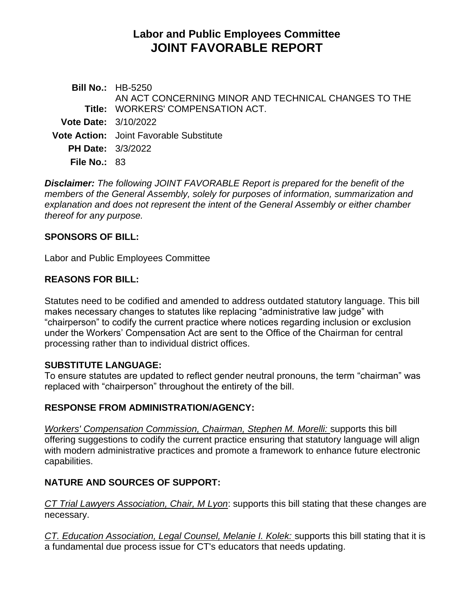# **Labor and Public Employees Committee JOINT FAVORABLE REPORT**

**Bill No.:** HB-5250 **Title:** WORKERS' COMPENSATION ACT. AN ACT CONCERNING MINOR AND TECHNICAL CHANGES TO THE **Vote Date:** 3/10/2022 **Vote Action:** Joint Favorable Substitute **PH Date:** 3/3/2022 **File No.:** 83

*Disclaimer: The following JOINT FAVORABLE Report is prepared for the benefit of the members of the General Assembly, solely for purposes of information, summarization and explanation and does not represent the intent of the General Assembly or either chamber thereof for any purpose.*

#### **SPONSORS OF BILL:**

Labor and Public Employees Committee

### **REASONS FOR BILL:**

Statutes need to be codified and amended to address outdated statutory language. This bill makes necessary changes to statutes like replacing "administrative law judge" with "chairperson" to codify the current practice where notices regarding inclusion or exclusion under the Workers' Compensation Act are sent to the Office of the Chairman for central processing rather than to individual district offices.

#### **SUBSTITUTE LANGUAGE:**

To ensure statutes are updated to reflect gender neutral pronouns, the term "chairman" was replaced with "chairperson" throughout the entirety of the bill.

## **RESPONSE FROM ADMINISTRATION/AGENCY:**

*Workers' Compensation Commission, Chairman, Stephen M. Morelli:* supports this bill offering suggestions to codify the current practice ensuring that statutory language will align with modern administrative practices and promote a framework to enhance future electronic capabilities.

## **NATURE AND SOURCES OF SUPPORT:**

*CT Trial Lawyers Association, Chair, M Lyon*: supports this bill stating that these changes are necessary.

*CT. Education Association, Legal Counsel, Melanie I. Kolek:* supports this bill stating that it is a fundamental due process issue for CT's educators that needs updating.